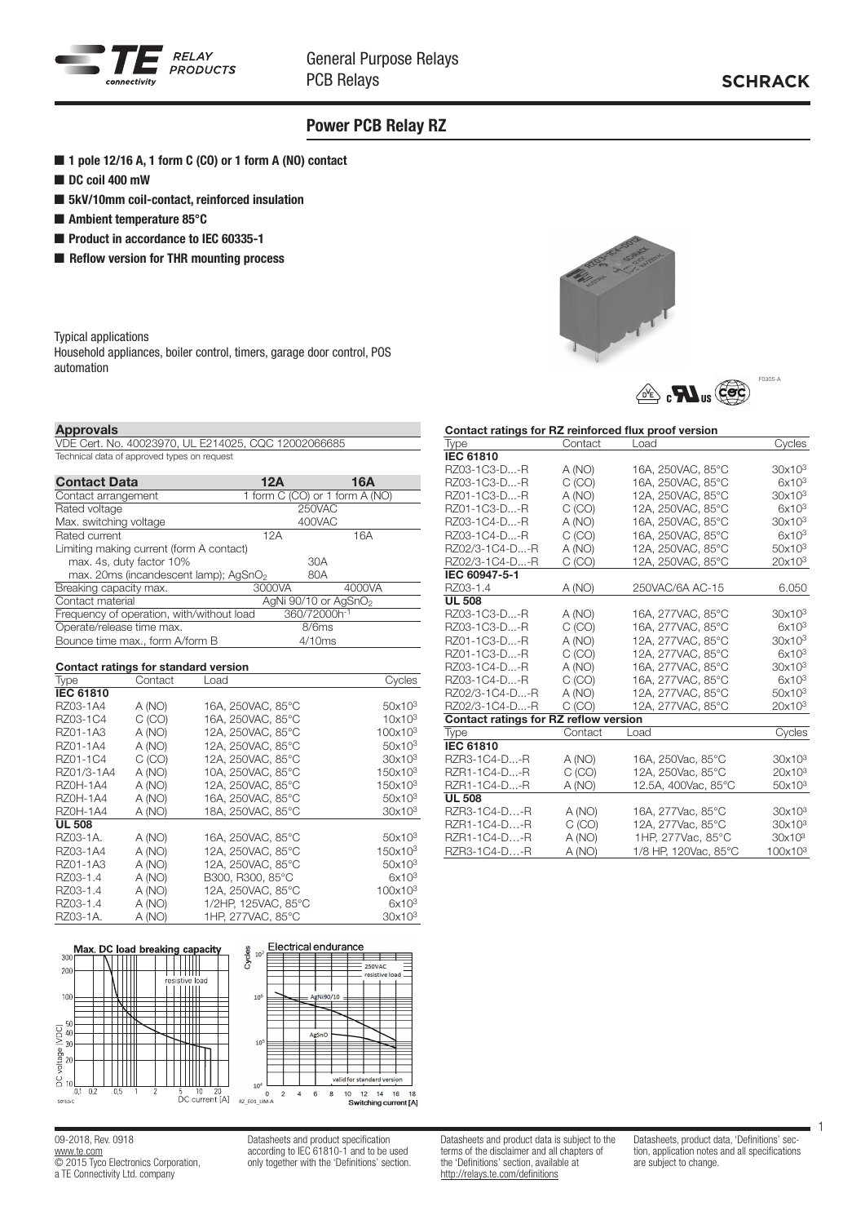

# Power PCB Relay RZ

- 1 pole 12/16 A, 1 form C (CO) or 1 form A (NO) contact
- DC coil 400 mW
- 5kV/10mm coil-contact, reinforced insulation
- Ambient temperature 85°C
- Product in accordance to IEC 60335-1
- Reflow version for THR mounting process

Typical applications

Household appliances, boiler control, timers, garage door control, POS automation



VDE Cert. No. 40023970, UL E214025, CQC 12002066685 Technical data of approved types on request

| <b>Contact Data</b>                               | 12A    | 16A                              |
|---------------------------------------------------|--------|----------------------------------|
| Contact arrangement                               |        | 1 form C (CO) or 1 form A (NO)   |
| Rated voltage                                     |        | 250VAC                           |
| Max. switching voltage                            |        | 400VAC                           |
| Rated current                                     | 12A    | 16A                              |
| Limiting making current (form A contact)          |        |                                  |
| max. 4s, duty factor 10%                          |        | 30A                              |
| max. 20ms (incandescent lamp); AgSnO <sub>2</sub> |        | 80A                              |
| Breaking capacity max.                            | 3000VA | 4000VA                           |
| Contact material                                  |        | AgNi 90/10 or AgSnO <sub>2</sub> |
| Frequency of operation, with/without load         |        | 360/72000h-1                     |
| Operate/release time max.                         |        | 8/6ms                            |
| Bounce time max., form A/form B                   |        | 4/10ms                           |

| Contact ratings for standard version |         |                     |                     |  |  |  |
|--------------------------------------|---------|---------------------|---------------------|--|--|--|
| Type                                 | Contact | Load                | Cycles              |  |  |  |
| <b>IEC 61810</b>                     |         |                     |                     |  |  |  |
| RZ03-1A4                             | A (NO)  | 16A, 250VAC, 85°C   | 50x10 <sup>3</sup>  |  |  |  |
| RZ03-1C4                             | C(CO)   | 16A. 250VAC. 85°C   | 10x10 <sup>3</sup>  |  |  |  |
| RZ01-1A3                             | A (NO)  | 12A. 250VAC. 85°C   | 100x10 <sup>3</sup> |  |  |  |
| RZ01-1A4                             | A (NO)  | 12A, 250VAC, 85°C   | 50x10 <sup>3</sup>  |  |  |  |
| RZ01-1C4                             | C (CO)  | 12A, 250VAC, 85°C   | 30x10 <sup>3</sup>  |  |  |  |
| RZ01/3-1A4                           | A (NO)  | 10A, 250VAC, 85°C   | 150x10 <sup>3</sup> |  |  |  |
| <b>RZ0H-1A4</b>                      | A (NO)  | 12A, 250VAC, 85°C   | 150x10 <sup>3</sup> |  |  |  |
| <b>RZ0H-1A4</b>                      | A (NO)  | 16A. 250VAC. 85°C   | 50x10 <sup>3</sup>  |  |  |  |
| <b>RZ0H-1A4</b>                      | A (NO)  | 18A. 250VAC. 85°C   | 30x10 <sup>3</sup>  |  |  |  |
| <b>UL 508</b>                        |         |                     |                     |  |  |  |
| RZ03-1A.                             | A (NO)  | 16A. 250VAC. 85°C   | 50x10 <sup>3</sup>  |  |  |  |
| RZ03-1A4                             | A (NO)  | 12A. 250VAC. 85°C   | 150x10 <sup>3</sup> |  |  |  |
| RZ01-1A3                             | A (NO)  | 12A, 250VAC, 85°C   | 50x10 <sup>3</sup>  |  |  |  |
| RZ03-1.4                             | A (NO)  | B300, R300, 85°C    | $6x10^3$            |  |  |  |
| RZ03-1.4                             | A (NO)  | 12A, 250VAC, 85°C   | 100x10 <sup>3</sup> |  |  |  |
| RZ03-1.4                             | A (NO)  | 1/2HP, 125VAC, 85°C | $6x10^3$            |  |  |  |
| RZ03-1A.                             | A (NO)  | 1HP, 277VAC, 85°C   | 30x10 <sup>3</sup>  |  |  |  |



09-2018, Rev. 0918 www.te.com © 2015 Tyco Electronics Corporation, a TE Connectivity Ltd. company

Datasheets and product specification according to IEC 61810-1 and to be used only together with the 'Definitions' section.



Contact ratings for RZ reinforced flux proof version



|                                       |         | Contact ratings for LC reinforced hux proof version |                     |
|---------------------------------------|---------|-----------------------------------------------------|---------------------|
| Type                                  | Contact | Load                                                | Cycles              |
| <b>IEC 61810</b>                      |         |                                                     |                     |
| RZ03-1C3-D-R                          | A (NO)  | 16A, 250VAC, 85°C                                   | 30x10 <sup>3</sup>  |
| RZ03-1C3-D-R                          | C(CO)   | 16A, 250VAC, 85°C                                   | $6x10^3$            |
| RZ01-1C3-D-R                          | A (NO)  | 12A, 250VAC, 85°C                                   | 30x10 <sup>3</sup>  |
| RZ01-1C3-D-R                          | C(CO)   | 12A, 250VAC, 85°C                                   | $6x10^3$            |
| RZ03-1C4-D-R                          | A (NO)  | 16A, 250VAC, 85°C                                   | 30x10 <sup>3</sup>  |
| RZ03-1C4-D-R                          | C(CO)   | 16A, 250VAC, 85°C                                   | 6x10 <sup>3</sup>   |
| RZ02/3-1C4-D-R                        | A (NO)  | 12A, 250VAC, 85°C                                   | 50x10 <sup>3</sup>  |
| RZ02/3-1C4-D-R                        | C(CO)   | 12A, 250VAC, 85°C                                   | $20x10^3$           |
| IEC 60947-5-1                         |         |                                                     |                     |
| RZ03-1.4                              | A (NO)  | 250VAC/6A AC-15                                     | 6.050               |
| <b>UL 508</b>                         |         |                                                     |                     |
| RZ03-1C3-D-R                          | A (NO)  | 16A, 277VAC, 85°C                                   | 30x10 <sup>3</sup>  |
| RZ03-1C3-D-R                          | C (CO)  | 16A, 277VAC, 85°C                                   | 6x10 <sup>3</sup>   |
| RZ01-1C3-D-R                          | A (NO)  | 12A, 277VAC, 85°C                                   | 30x10 <sup>3</sup>  |
| RZ01-1C3-D-R                          | C(CO)   | 12A, 277VAC, 85°C                                   | 6x10 <sup>3</sup>   |
| RZ03-1C4-D-R                          | A (NO)  | 16A, 277VAC, 85°C                                   | 30x10 <sup>3</sup>  |
| RZ03-1C4-D-R                          | C(CO)   | 16A, 277VAC, 85°C                                   | 6x10 <sup>3</sup>   |
| RZ02/3-1C4-D-R                        | A (NO)  | 12A, 277VAC, 85°C                                   | $50x10^3$           |
| RZ02/3-1C4-D-R                        | C(CO)   | 12A, 277VAC, 85°C                                   | 20x10 <sup>3</sup>  |
| Contact ratings for RZ reflow version |         |                                                     |                     |
| Type                                  | Contact | Load                                                | Cycles              |
| <b>IEC 61810</b>                      |         |                                                     |                     |
| RZR3-1C4-D-R                          | A (NO)  | 16A, 250Vac, 85°C                                   | 30x10 <sup>3</sup>  |
| RZR1-1C4-D-R                          | C(CO)   | 12A, 250Vac, 85°C                                   | 20x10 <sup>3</sup>  |
| RZR1-1C4-D-R                          | A (NO)  | 12.5A, 400Vac, 85°C                                 | 50x10 <sup>3</sup>  |
| <b>UL 508</b>                         |         |                                                     |                     |
| RZR3-1C4-D-R                          | A (NO)  | 16A, 277Vac, 85°C                                   | 30x10 <sup>3</sup>  |
| RZR1-1C4-D-R                          | C(CO)   | 12A, 277Vac, 85°C                                   | 30x10 <sup>3</sup>  |
| RZR1-1C4-D-R                          | A (NO)  | 1HP, 277Vac, 85°C                                   | 30x10 <sup>3</sup>  |
| RZR3-1C4-D-R                          | A (NO)  | 1/8 HP, 120Vac, 85°C                                | 100x10 <sup>3</sup> |

Datasheets and product data is subject to the terms of the disclaimer and all chapters of the 'Definitions' section, available at http://relays.te.com/definitions

Datasheets, product data, 'Definitions' section, application notes and all specifications are subject to change.

1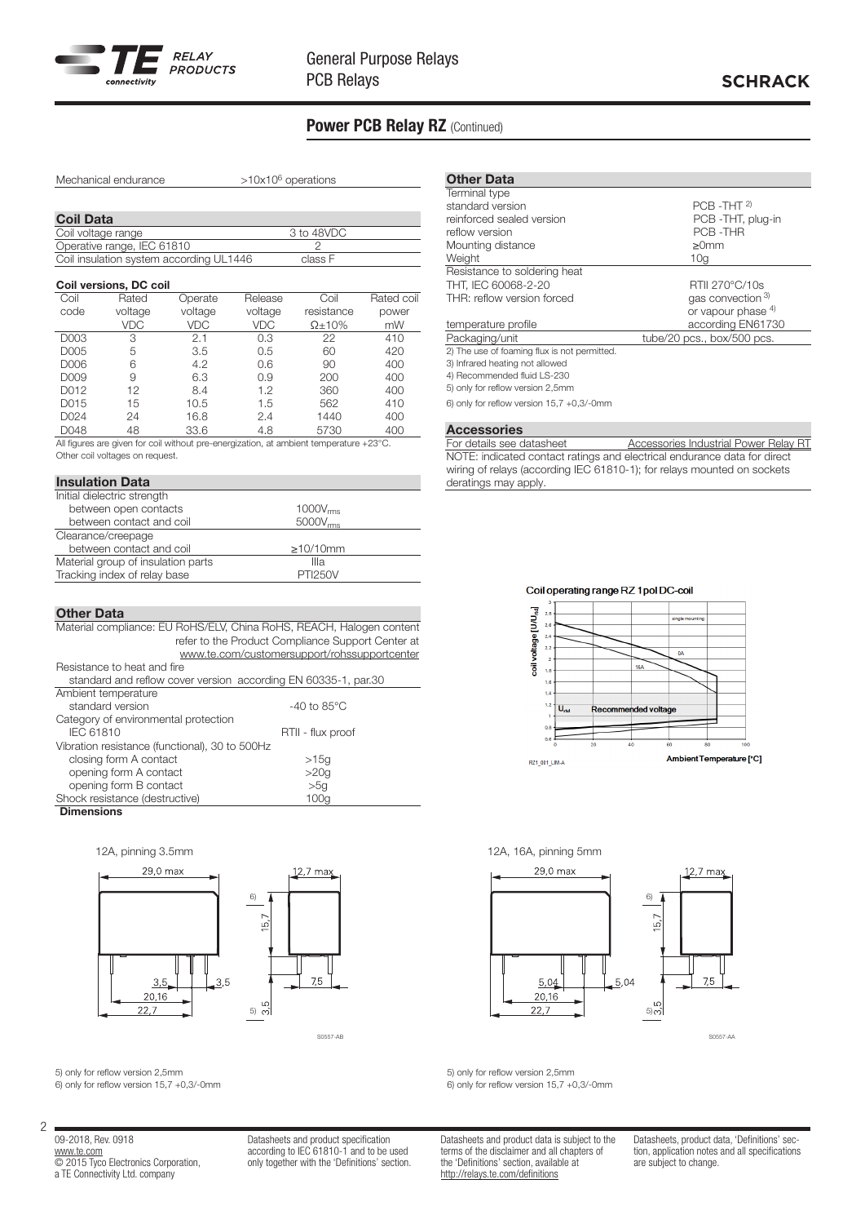

# **SCHRACK**

# Power PCB Relay RZ (Continued)

Mechanical endurance  $>10x10^6$  operations

| <b>Coil Data</b>                        |            |  |
|-----------------------------------------|------------|--|
| Coil voltage range                      | 3 to 48VDC |  |
| Operative range, IEC 61810              |            |  |
| Coil insulation system according UL1446 | class F    |  |

## Coil versions, DC coil

| Coil | Rated      | Operate    | Release    | Coil           | Rated coil |
|------|------------|------------|------------|----------------|------------|
| code | voltage    | voltage    | voltage    | resistance     | power      |
|      | <b>VDC</b> | <b>VDC</b> | <b>VDC</b> | $\Omega$ + 10% | mW         |
| D003 | 3          | 2.1        | 0.3        | 22             | 410        |
| D005 | 5          | 3.5        | 0.5        | 60             | 420        |
| D006 | 6          | 4.2        | 0.6        | 90             | 400        |
| D009 | 9          | 6.3        | 0.9        | 200            | 400        |
| D012 | 12         | 8.4        | 1.2        | 360            | 400        |
| D015 | 15         | 10.5       | 1.5        | 562            | 410        |
| D024 | 24         | 16.8       | 2.4        | 1440           | 400        |
| D048 | 48         | 33.6       | 4.8        | 5730           | 400        |

All figures are given for coil without pre-energization, at ambient temperature +23°C. Other coil voltages on request.

## Insulation Data

| Initial dielectric strength        |                |  |
|------------------------------------|----------------|--|
| between open contacts              | $1000V_{rms}$  |  |
| between contact and coil           | $5000V_{rms}$  |  |
| Clearance/creepage                 |                |  |
| between contact and coil           | $\geq$ 10/10mm |  |
| Material group of insulation parts | Illa           |  |
| Tracking index of relay base       | <b>PTI250V</b> |  |
|                                    |                |  |

## Other Data

| Material compliance: EU RoHS/ELV, China RoHS, REACH, Halogen content |                                              |  |  |  |  |
|----------------------------------------------------------------------|----------------------------------------------|--|--|--|--|
| refer to the Product Compliance Support Center at                    |                                              |  |  |  |  |
|                                                                      | www.te.com/customersupport/rohssupportcenter |  |  |  |  |
| Resistance to heat and fire                                          |                                              |  |  |  |  |
| standard and reflow cover version according EN 60335-1, par.30       |                                              |  |  |  |  |
| Ambient temperature                                                  |                                              |  |  |  |  |
| standard version                                                     | $-40$ to 85 $^{\circ}$ C                     |  |  |  |  |
| Category of environmental protection                                 |                                              |  |  |  |  |
| <b>IEC 61810</b><br>RTII - flux proof                                |                                              |  |  |  |  |
| Vibration resistance (functional), 30 to 500Hz                       |                                              |  |  |  |  |
| closing form A contact                                               | >15q                                         |  |  |  |  |
| opening form A contact                                               | >20g                                         |  |  |  |  |
| opening form B contact                                               | >5q                                          |  |  |  |  |
| Shock resistance (destructive)                                       | 100a                                         |  |  |  |  |
| Fabrication of the contract of the                                   |                                              |  |  |  |  |

### **Dimensions**







5) only for reflow version 2,5mm 6) only for reflow version 15,7 +0,3/-0mm

09-2018, Rev. 0918 www.te.com © 2015 Tyco Electronics Corporation, a TE Connectivity Ltd. company

2

Datasheets and product specification according to IEC 61810-1 and to be used only together with the 'Definitions' section.

| <b>Other Data</b>                            |                            |
|----------------------------------------------|----------------------------|
| Terminal type                                |                            |
| standard version                             | $PCB - THT$ <sup>2)</sup>  |
| reinforced sealed version                    | PCB -THT, plug-in          |
| reflow version                               | PCB-THR                    |
| Mounting distance                            | >0 <sub>mm</sub>           |
| Weight                                       | 10a                        |
| Resistance to soldering heat                 |                            |
| THT, IEC 60068-2-20                          | RTII 270°C/10s             |
| THR: reflow version forced                   | gas convection 3)          |
|                                              | or vapour phase $4$ )      |
| temperature profile                          | according EN61730          |
| Packaging/unit                               | tube/20 pcs., box/500 pcs. |
| 2) The use of foaming flux is not permitted. |                            |
| 3) Infrared heating not allowed              |                            |
| 4) Recommended fluid LS-230                  |                            |
| 5) only for reflow version 2,5mm             |                            |

6) only for reflow version 15,7 +0,3/-0mm

**Accessories**<br>For details see datasheet Accessories Industrial Power Relay RT NOTE: indicated contact ratings and electrical endurance data for direct wiring of relays (according IEC 61810-1); for relays mounted on sockets deratings may apply.

## Coil operating range RZ 1 pol DC-coil



## 12A, pinning 3.5mm 12A, 16A, pinning 5mm



S0557-AB S0557-AA

5) only for reflow version 2,5mm 6) only for reflow version 15,7 +0,3/-0mm

Datasheets and product data is subject to the terms of the disclaimer and all chapters of the 'Definitions' section, available at http://relays.te.com/definitions

Datasheets, product data, 'Definitions' section, application notes and all specifications are subject to change.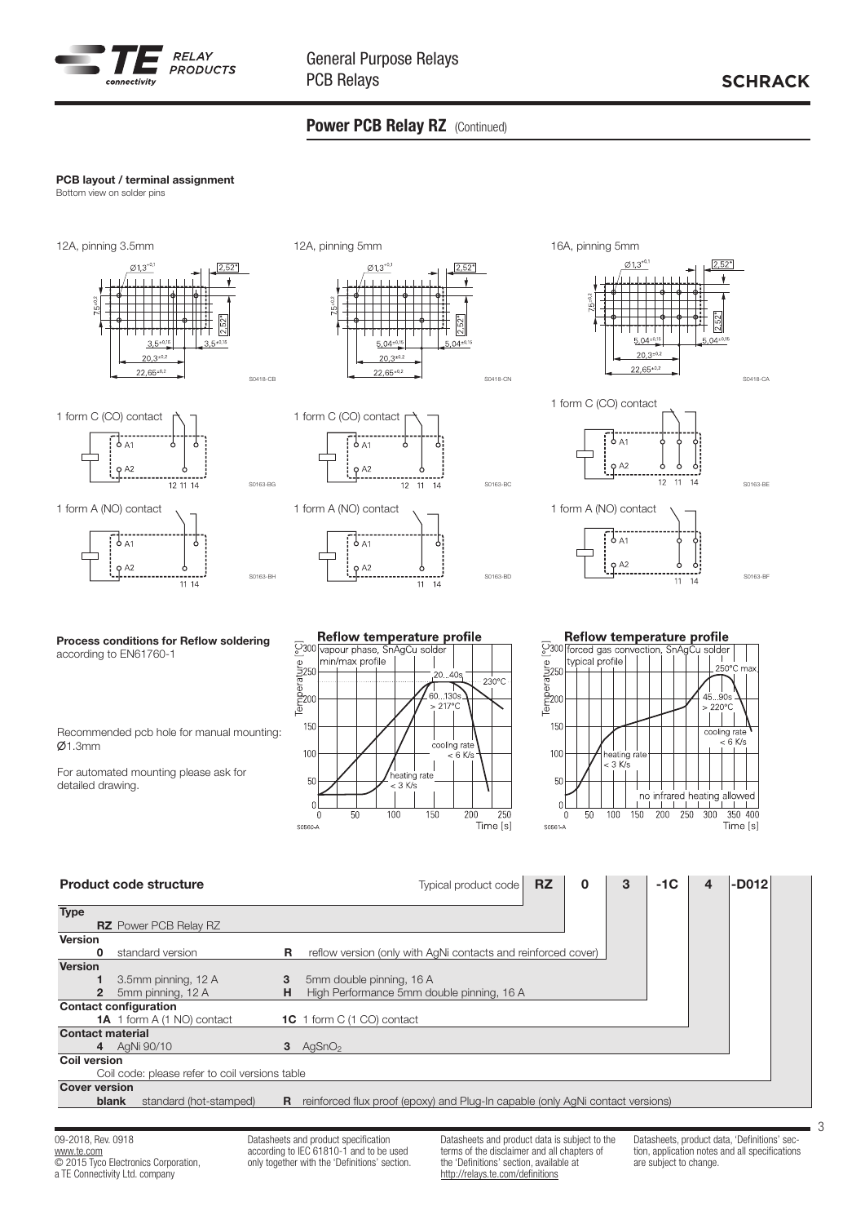

# Power PCB Relay RZ (Continued)

## PCB layout / terminal assignment

Bottom view on solder pins







S0163-BG

S0163-BH



Recommended pcb hole for manual mounting:  $Ø1.3mm$ 

For automated mounting please ask for detailed drawing.



S0163-BC

S0163-BD















S0163-BE



|                         |       | <b>Product code structure</b>                  |    | <b>RZ</b><br>-D012<br>$-1C$<br>$\bf{0}$<br>3<br>Typical product code<br>4               |
|-------------------------|-------|------------------------------------------------|----|-----------------------------------------------------------------------------------------|
| <b>Type</b>             |       |                                                |    |                                                                                         |
| <b>Version</b>          |       | <b>RZ</b> Power PCB Relay RZ                   |    |                                                                                         |
|                         | 0     | standard version                               | R. | reflow version (only with AgNi contacts and reinforced cover)                           |
| <b>Version</b>          |       |                                                |    |                                                                                         |
|                         |       | 3.5mm pinning, 12 A                            | 3  | 5mm double pinning, 16 A                                                                |
|                         |       | 5mm pinning, 12 A                              | H  | High Performance 5mm double pinning, 16 A                                               |
|                         |       | <b>Contact configuration</b>                   |    |                                                                                         |
|                         |       | <b>1A</b> 1 form A (1 NO) contact              |    | <b>1C</b> 1 form C (1 CO) contact                                                       |
| <b>Contact material</b> |       |                                                |    |                                                                                         |
|                         |       | 4 AgNi 90/10                                   |    | $3$ AgSnO <sub>2</sub>                                                                  |
| <b>Coil version</b>     |       |                                                |    |                                                                                         |
|                         |       | Coil code: please refer to coil versions table |    |                                                                                         |
| <b>Cover version</b>    |       |                                                |    |                                                                                         |
|                         | blank | standard (hot-stamped)                         |    | <b>R</b> reinforced flux proof (epoxy) and Plug-In capable (only AgNi contact versions) |
|                         |       |                                                |    |                                                                                         |

09-2018, Rev. 0918 www.te.com **COLOGO ELECTRONICS** Corporation, a TE Connectivity Ltd. company

Datasheets and product specification according to IEC 61810-1 and to be used only together with the 'Definitions' section. Datasheets and product data is subject to the terms of the disclaimer and all chapters of the 'Definitions' section, available at http://relays.te.com/definitions

Datasheets, product data, 'Definitions' section, application notes and all specifications are subject to change.

3